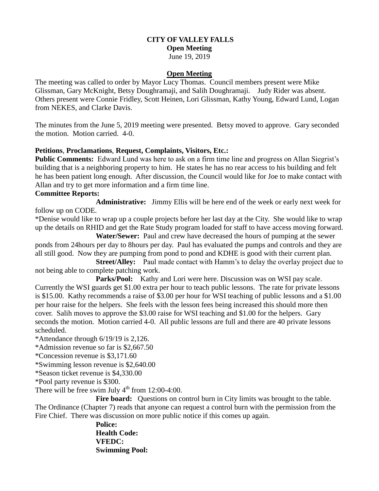### **CITY OF VALLEY FALLS Open Meeting**

# June 19, 2019

### **Open Meeting**

The meeting was called to order by Mayor Lucy Thomas. Council members present were Mike Glissman, Gary McKnight, Betsy Doughramaji, and Salih Doughramaji. Judy Rider was absent. Others present were Connie Fridley, Scott Heinen, Lori Glissman, Kathy Young, Edward Lund, Logan from NEKES, and Clarke Davis.

The minutes from the June 5, 2019 meeting were presented. Betsy moved to approve. Gary seconded the motion. Motion carried. 4-0.

### **Petitions**, **Proclamations**, **Request, Complaints, Visitors, Etc.:**

**Public Comments:** Edward Lund was here to ask on a firm time line and progress on Allan Siegrist's building that is a neighboring property to him. He states he has no rear access to his building and felt he has been patient long enough. After discussion, the Council would like for Joe to make contact with Allan and try to get more information and a firm time line.

#### **Committee Reports:**

**Administrative:** Jimmy Ellis will be here end of the week or early next week for follow up on CODE.

\*Denise would like to wrap up a couple projects before her last day at the City. She would like to wrap up the details on RHID and get the Rate Study program loaded for staff to have access moving forward.

 **Water/Sewer:** Paul and crew have decreased the hours of pumping at the sewer ponds from 24hours per day to 8hours per day. Paul has evaluated the pumps and controls and they are all still good. Now they are pumping from pond to pond and KDHE is good with their current plan.

**Street/Alley:** Paul made contact with Hamm's to delay the overlay project due to not being able to complete patching work.

Parks/Pool: Kathy and Lori were here. Discussion was on WSI pay scale. Currently the WSI guards get \$1.00 extra per hour to teach public lessons. The rate for private lessons is \$15.00. Kathy recommends a raise of \$3.00 per hour for WSI teaching of public lessons and a \$1.00 per hour raise for the helpers. She feels with the lesson fees being increased this should more then cover. Salih moves to approve the \$3.00 raise for WSI teaching and \$1.00 for the helpers. Gary seconds the motion. Motion carried 4-0. All public lessons are full and there are 40 private lessons scheduled.

\*Attendance through 6/19/19 is 2,126.

\*Admission revenue so far is \$2,667.50

\*Concession revenue is \$3,171.60

\*Swimming lesson revenue is \$2,640.00

\*Season ticket revenue is \$4,330.00

\*Pool party revenue is \$300.

There will be free swim July  $4<sup>th</sup>$  from 12:00-4:00.

Fire board: Questions on control burn in City limits was brought to the table. The Ordinance (Chapter 7) reads that anyone can request a control burn with the permission from the Fire Chief. There was discussion on more public notice if this comes up again.

> **Police: Health Code: VFEDC: Swimming Pool:**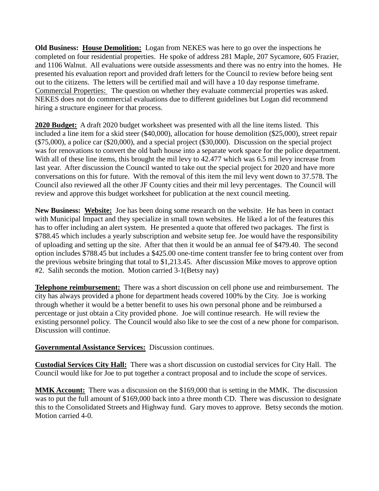**Old Business: House Demolition:** Logan from NEKES was here to go over the inspections he completed on four residential properties. He spoke of address 281 Maple, 207 Sycamore, 605 Frazier, and 1106 Walnut. All evaluations were outside assessments and there was no entry into the homes. He presented his evaluation report and provided draft letters for the Council to review before being sent out to the citizens. The letters will be certified mail and will have a 10 day response timeframe. Commercial Properties: The question on whether they evaluate commercial properties was asked. NEKES does not do commercial evaluations due to different guidelines but Logan did recommend hiring a structure engineer for that process.

**2020 Budget:** A draft 2020 budget worksheet was presented with all the line items listed. This included a line item for a skid steer (\$40,000), allocation for house demolition (\$25,000), street repair (\$75,000), a police car (\$20,000), and a special project (\$30,000). Discussion on the special project was for renovations to convert the old bath house into a separate work space for the police department. With all of these line items, this brought the mil levy to 42.477 which was 6.5 mil levy increase from last year. After discussion the Council wanted to take out the special project for 2020 and have more conversations on this for future. With the removal of this item the mil levy went down to 37.578. The Council also reviewed all the other JF County cities and their mil levy percentages. The Council will review and approve this budget worksheet for publication at the next council meeting.

**New Business: Website:** Joe has been doing some research on the website. He has been in contact with Municipal Impact and they specialize in small town websites. He liked a lot of the features this has to offer including an alert system. He presented a quote that offered two packages. The first is \$788.45 which includes a yearly subscription and website setup fee. Joe would have the responsibility of uploading and setting up the site. After that then it would be an annual fee of \$479.40. The second option includes \$788.45 but includes a \$425.00 one-time content transfer fee to bring content over from the previous website bringing that total to \$1,213.45. After discussion Mike moves to approve option #2. Salih seconds the motion. Motion carried 3-1(Betsy nay)

**Telephone reimbursement:** There was a short discussion on cell phone use and reimbursement. The city has always provided a phone for department heads covered 100% by the City. Joe is working through whether it would be a better benefit to uses his own personal phone and be reimbursed a percentage or just obtain a City provided phone. Joe will continue research. He will review the existing personnel policy. The Council would also like to see the cost of a new phone for comparison. Discussion will continue.

## **Governmental Assistance Services:** Discussion continues.

**Custodial Services City Hall:** There was a short discussion on custodial services for City Hall. The Council would like for Joe to put together a contract proposal and to include the scope of services.

**MMK Account:** There was a discussion on the \$169,000 that is setting in the MMK. The discussion was to put the full amount of \$169,000 back into a three month CD. There was discussion to designate this to the Consolidated Streets and Highway fund. Gary moves to approve. Betsy seconds the motion. Motion carried 4-0.